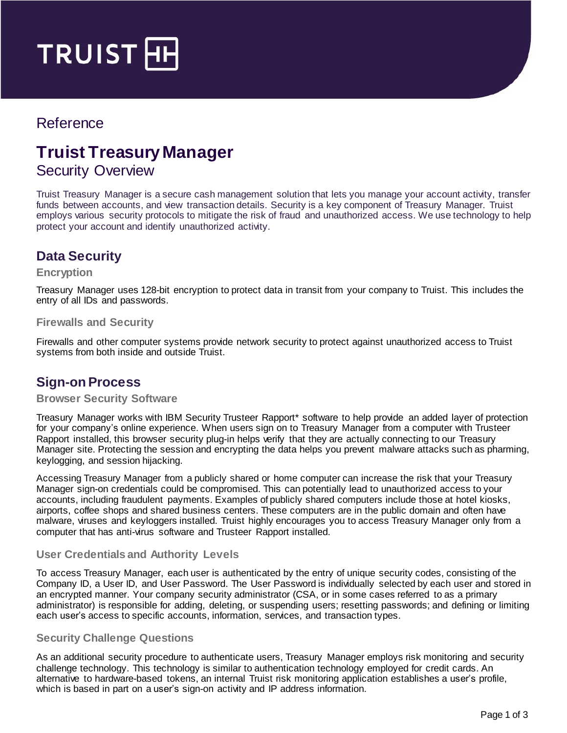

# Reference

# **Truist Treasury Manager**

# Security Overview

Truist Treasury Manager is a secure cash management solution that lets you manage your account activity, transfer funds between accounts, and view transaction details. Security is a key component of Treasury Manager. Truist employs various security protocols to mitigate the risk of fraud and unauthorized access. We use technology to help protect your account and identify unauthorized activity.

# **Data Security**

#### **Encryption**

Treasury Manager uses 128-bit encryption to protect data in transit from your company to Truist. This includes the entry of all IDs and passwords.

### **Firewalls and Security**

Firewalls and other computer systems provide network security to protect against unauthorized access to Truist systems from both inside and outside Truist.

### **Sign-on Process**

### **Browser Security Software**

Treasury Manager works with IBM Security Trusteer Rapport\* software to help provide an added layer of protection for your company's online experience. When users sign on to Treasury Manager from a computer with Trusteer Rapport installed, this browser security plug-in helps verify that they are actually connecting to our Treasury Manager site. Protecting the session and encrypting the data helps you prevent malware attacks such as pharming, keylogging, and session hijacking.

Accessing Treasury Manager from a publicly shared or home computer can increase the risk that your Treasury Manager sign-on credentials could be compromised. This can potentially lead to unauthorized access to your accounts, including fraudulent payments. Examples of publicly shared computers include those at hotel kiosks, airports, coffee shops and shared business centers. These computers are in the public domain and often have malware, viruses and keyloggers installed. Truist highly encourages you to access Treasury Manager only from a computer that has anti-virus software and Trusteer Rapport installed.

### **User Credentials and Authority Levels**

To access Treasury Manager, each user is authenticated by the entry of unique security codes, consisting of the Company ID, a User ID, and User Password. The User Password is individually selected by each user and stored in an encrypted manner. Your company security administrator (CSA, or in some cases referred to as a primary administrator) is responsible for adding, deleting, or suspending users; resetting passwords; and defining or limiting each user's access to specific accounts, information, services, and transaction types.

### **Security Challenge Questions**

As an additional security procedure to authenticate users, Treasury Manager employs risk monitoring and security challenge technology. This technology is similar to authentication technology employed for credit cards. An alternative to hardware-based tokens, an internal Truist risk monitoring application establishes a user's profile, which is based in part on a user's sign-on activity and IP address information.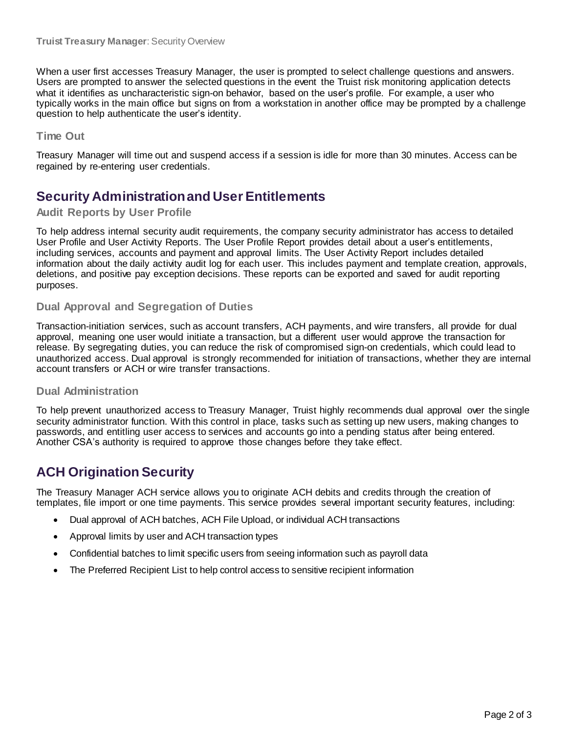When a user first accesses Treasury Manager, the user is prompted to select challenge questions and answers. Users are prompted to answer the selected questions in the event the Truist risk monitoring application detects what it identifies as uncharacteristic sign-on behavior, based on the user's profile. For example, a user who typically works in the main office but signs on from a workstation in another office may be prompted by a challenge question to help authenticate the user's identity.

### **Time Out**

Treasury Manager will time out and suspend access if a session is idle for more than 30 minutes. Access can be regained by re-entering user credentials.

# **Security Administration and User Entitlements**

### **Audit Reports by User Profile**

To help address internal security audit requirements, the company security administrator has access to detailed User Profile and User Activity Reports. The User Profile Report provides detail about a user's entitlements, including services, accounts and payment and approval limits. The User Activity Report includes detailed information about the daily activity audit log for each user. This includes payment and template creation, approvals, deletions, and positive pay exception decisions. These reports can be exported and saved for audit reporting purposes.

### **Dual Approval and Segregation of Duties**

Transaction-initiation services, such as account transfers, ACH payments, and wire transfers, all provide for dual approval, meaning one user would initiate a transaction, but a different user would approve the transaction for release. By segregating duties, you can reduce the risk of compromised sign-on credentials, which could lead to unauthorized access. Dual approval is strongly recommended for initiation of transactions, whether they are internal account transfers or ACH or wire transfer transactions.

### **Dual Administration**

To help prevent unauthorized access to Treasury Manager, Truist highly recommends dual approval over the single security administrator function. With this control in place, tasks such as setting up new users, making changes to passwords, and entitling user access to services and accounts go into a pending status after being entered. Another CSA's authority is required to approve those changes before they take effect.

# **ACH Origination Security**

The Treasury Manager ACH service allows you to originate ACH debits and credits through the creation of templates, file import or one time payments. This service provides several important security features, including:

- Dual approval of ACH batches, ACH File Upload, or individual ACH transactions
- Approval limits by user and ACH transaction types
- Confidential batches to limit specific users from seeing information such as payroll data
- The Preferred Recipient List to help control access to sensitive recipient information